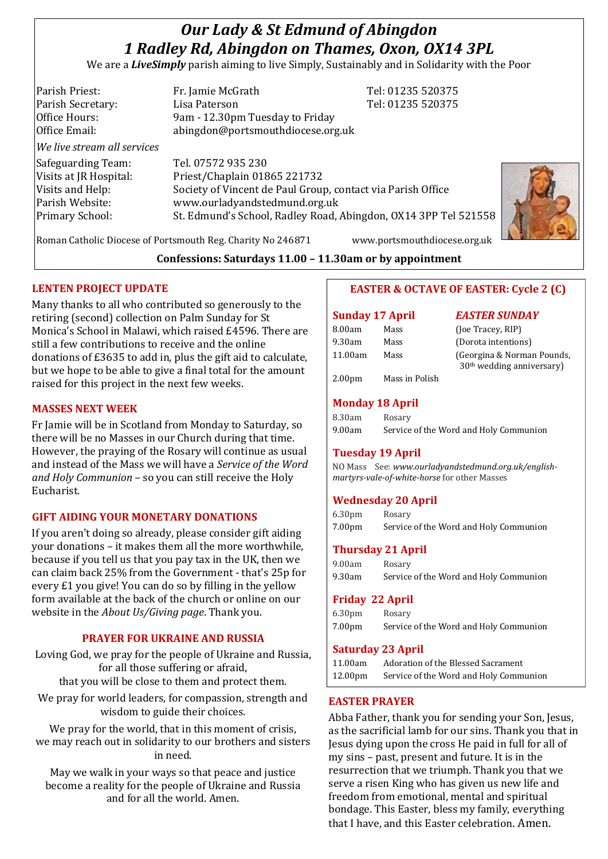# *Our Lady & St Edmund of Abingdon 1 Radley Rd, Abingdon on Thames, Oxon, OX14 3PL*

We are a *LiveSimply* parish aiming to live Simply, Sustainably and in Solidarity with the Poor

Parish Priest: Fr. Jamie McGrath Tel: 01235 520375 Parish Secretary: Lisa Paterson Tel: 01235 520375 Office Hours: 9am - 12.30pm Tuesday to Friday Office Email: abingdon@portsmouthdiocese.org.uk *We live stream all services* Safeguarding Team: Tel. 07572 935 230 Visits at JR Hospital: Priest/Chaplain 01865 221732 Visits and Help: Society of Vincent de Paul Group, contact via Parish Office Parish Website: www.ourladyandstedmund.org.uk Primary School: St. Edmund's School, Radley Road, Abingdon, OX14 3PP Tel 521558



Roman Catholic Diocese of Portsmouth Reg. Charity No 246871 www.portsmouthdiocese.org.uk

## **Confessions: Saturdays 11.00 – 11.30am or by appointment**

## **LENTEN PROJECT UPDATE**

Many thanks to all who contributed so generously to the retiring (second) collection on Palm Sunday for St Monica's School in Malawi, which raised £4596. There are still a few contributions to receive and the online donations of £3635 to add in, plus the gift aid to calculate, but we hope to be able to give a final total for the amount raised for this project in the next few weeks.

#### **MASSES NEXT WEEK**

Fr Jamie will be in Scotland from Monday to Saturday, so there will be no Masses in our Church during that time. However, the praying of the Rosary will continue as usual and instead of the Mass we will have a *Service of the Word and Holy Communion* – so you can still receive the Holy Eucharist.

## **GIFT AIDING YOUR MONETARY DONATIONS**

If you aren't doing so already, please consider gift aiding your donations – it makes them all the more worthwhile, because if you tell us that you pay tax in the UK, then we can claim back 25% from the Government - that's 25p for every £1 you give! You can do so by filling in the yellow form available at the back of the church or online on our website in the *About Us/Giving page*. Thank you.

## **PRAYER FOR UKRAINE AND RUSSIA**

Loving God, we pray for the people of Ukraine and Russia, for all those suffering or afraid, that you will be close to them and protect them.

We pray for world leaders, for compassion, strength and wisdom to guide their choices.

We pray for the world, that in this moment of crisis, we may reach out in solidarity to our brothers and sisters in need.

May we walk in your ways so that peace and justice become a reality for the people of Ukraine and Russia and for all the world. Amen.

# **EASTER & OCTAVE OF EASTER: Cycle 2 (C)**

#### **Sunday 17 April** *EASTER SUNDAY*

| 8.00am        | Mass | (Joe Tracey, RIP)                                         |
|---------------|------|-----------------------------------------------------------|
| 9.30am        | Mass | (Dorota intentions)                                       |
| 11.00am       | Mass | (Georgina & Norman Pounds,<br>$30th$ wedding anniversary) |
| $\sim$ $\sim$ | .    |                                                           |

2.00pm Mass in Polish

# **Monday 18 April**

| 8.30am | Rosary                                 |
|--------|----------------------------------------|
| 9.00am | Service of the Word and Holy Communion |

## **Tuesday 19 April**

NO Mass See: *www.ourladyandstedmund.org.uk/englishmartyrs-vale-of-white-horse* for other Masses

# **Wednesday 20 April**

| 6.30 <sub>pm</sub> | Rosary                                 |
|--------------------|----------------------------------------|
| 7.00 <sub>pm</sub> | Service of the Word and Holy Communion |

## **Thursday 21 April**

| 9.00am | Rosary                                 |
|--------|----------------------------------------|
| 9.30am | Service of the Word and Holy Communion |

## **Friday 22 April**

| 6.30 <sub>pm</sub> | Rosary                                 |
|--------------------|----------------------------------------|
| 7.00 <sub>pm</sub> | Service of the Word and Holy Communion |

## **Saturday 23 April**

| 11.00am             | Adoration of the Blessed Sacrament     |
|---------------------|----------------------------------------|
| 12.00 <sub>pm</sub> | Service of the Word and Holy Communion |

## **EASTER PRAYER**

Abba Father, thank you for sending your Son, Jesus, as the sacrificial lamb for our sins. Thank you that in Jesus dying upon the cross He paid in full for all of my sins – past, present and future. It is in the resurrection that we triumph. Thank you that we serve a risen King who has given us new life and freedom from emotional, mental and spiritual bondage. This Easter, bless my family, everything that I have, and this Easter celebration. Amen.